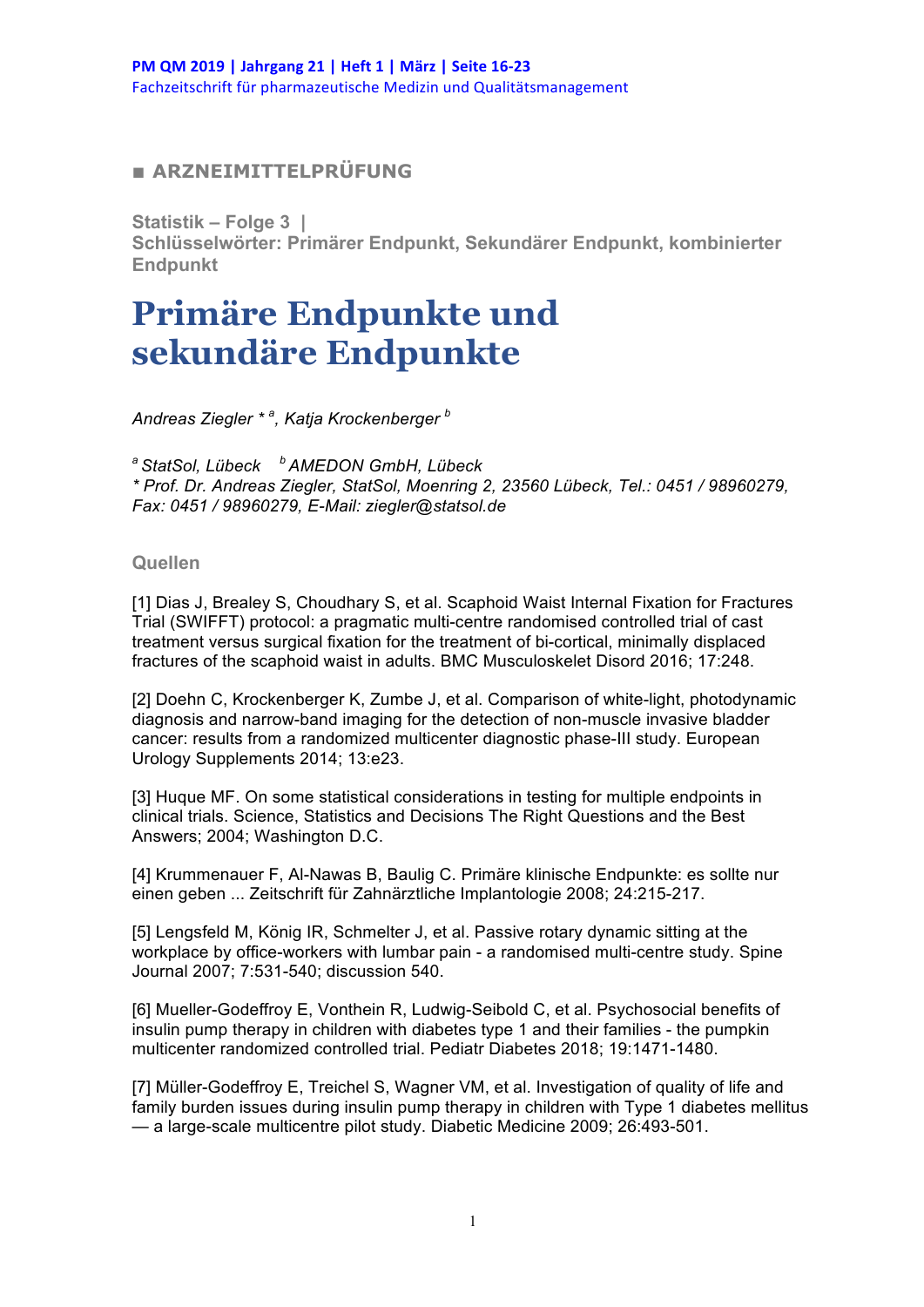## **■ ARZNEIMITTELPRÜFUNG**

**Statistik – Folge 3 |**

**Schlüsselwörter: Primärer Endpunkt, Sekundärer Endpunkt, kombinierter Endpunkt**

## **Primäre Endpunkte und sekundäre Endpunkte**

*Andreas Ziegler \* <sup>a</sup> , Katja Krockenberger <sup>b</sup>* 

*a StatSol, Lübeck b AMEDON GmbH, Lübeck \* Prof. Dr. Andreas Ziegler, StatSol, Moenring 2, 23560 Lübeck, Tel.: 0451 / 98960279, Fax: 0451 / 98960279, E-Mail: ziegler@statsol.de*

## **Quellen**

[1] Dias J, Brealey S, Choudhary S, et al. Scaphoid Waist Internal Fixation for Fractures Trial (SWIFFT) protocol: a pragmatic multi-centre randomised controlled trial of cast treatment versus surgical fixation for the treatment of bi-cortical, minimally displaced fractures of the scaphoid waist in adults. BMC Musculoskelet Disord 2016; 17:248.

[2] Doehn C, Krockenberger K, Zumbe J, et al. Comparison of white-light, photodynamic diagnosis and narrow-band imaging for the detection of non-muscle invasive bladder cancer: results from a randomized multicenter diagnostic phase-III study. European Urology Supplements 2014; 13:e23.

[3] Huque MF. On some statistical considerations in testing for multiple endpoints in clinical trials. Science, Statistics and Decisions The Right Questions and the Best Answers; 2004; Washington D.C.

[4] Krummenauer F, Al-Nawas B, Baulig C. Primäre klinische Endpunkte: es sollte nur einen geben ... Zeitschrift für Zahnärztliche Implantologie 2008; 24:215-217.

[5] Lengsfeld M, König IR, Schmelter J, et al. Passive rotary dynamic sitting at the workplace by office-workers with lumbar pain - a randomised multi-centre study. Spine Journal 2007; 7:531-540; discussion 540.

[6] Mueller-Godeffroy E, Vonthein R, Ludwig-Seibold C, et al. Psychosocial benefits of insulin pump therapy in children with diabetes type 1 and their families - the pumpkin multicenter randomized controlled trial. Pediatr Diabetes 2018; 19:1471-1480.

[7] Müller-Godeffroy E, Treichel S, Wagner VM, et al. Investigation of quality of life and family burden issues during insulin pump therapy in children with Type 1 diabetes mellitus — a large-scale multicentre pilot study. Diabetic Medicine 2009; 26:493-501.